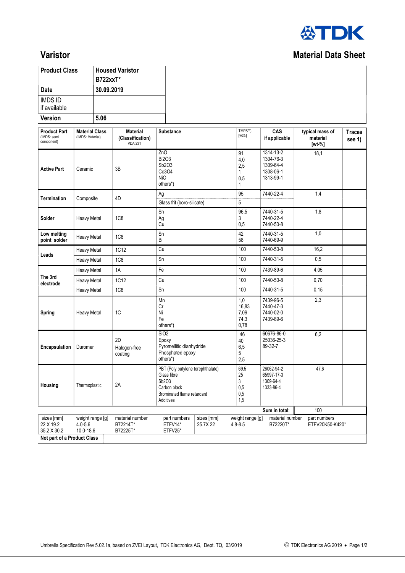

## Varistor Material Data Sheet

| <b>Product Class</b>                             |                                              | <b>B722xxT*</b> | <b>Housed Varistor</b>                                |                                                                 |                                                                 |                                      |                                                               |                                         |                         |
|--------------------------------------------------|----------------------------------------------|-----------------|-------------------------------------------------------|-----------------------------------------------------------------|-----------------------------------------------------------------|--------------------------------------|---------------------------------------------------------------|-----------------------------------------|-------------------------|
| <b>Date</b>                                      |                                              | 30.09.2019      |                                                       |                                                                 |                                                                 |                                      |                                                               |                                         |                         |
| <b>IMDS ID</b><br>if available                   |                                              |                 |                                                       |                                                                 |                                                                 |                                      |                                                               |                                         |                         |
| <b>Version</b>                                   |                                              | 5.06            |                                                       |                                                                 |                                                                 |                                      |                                                               |                                         |                         |
| <b>Product Part</b><br>(IMDS: semi<br>component) | <b>Material Class</b><br>(IMDS: Material)    |                 | <b>Material</b><br>(Classification)<br><b>VDA 231</b> | <b>Substance</b>                                                |                                                                 | TMPS**)<br>$[wt\%]$                  | CAS<br>if applicable                                          | typical mass of<br>material<br>$[wt-%]$ | <b>Traces</b><br>see 1) |
| <b>Active Part</b>                               | Ceramic                                      |                 | 3B                                                    | ZnO<br><b>Bi2O3</b><br>Sb2O3<br>Co3O4<br><b>NiO</b><br>others*) |                                                                 | 91<br>4,0<br>2,5<br>1<br>0,5<br>1    | 1314-13-2<br>1304-76-3<br>1309-64-4<br>1308-06-1<br>1313-99-1 | 18,1                                    |                         |
| Termination                                      | Composite                                    |                 | 4D                                                    | Ag<br>Glass frit (boro-silicate)                                |                                                                 | 95<br>5                              | 7440-22-4                                                     | 1,4                                     |                         |
| Solder                                           | Heavy Metal                                  |                 | 1C <sub>8</sub>                                       | Sn<br>Ag<br>$\tilde{cu}$                                        |                                                                 | 96,5<br>3<br>0,5                     | 7440-31-5<br>7440-22-4<br>7440-50-8                           | 1,8                                     |                         |
| Low melting<br>point solder                      | <b>Heavy Metal</b>                           |                 | 1C <sub>8</sub>                                       | Sn<br>Bi                                                        |                                                                 | 42<br>58                             | 7440-31-5<br>7440-69-9                                        | 1,0                                     |                         |
|                                                  | Heavy Metal                                  |                 | 1C12                                                  | Cu                                                              |                                                                 | 100                                  | 7440-50-8                                                     | 16,2                                    |                         |
| Leads                                            | Heavy Metal                                  |                 | 1C <sub>8</sub>                                       | Sn                                                              |                                                                 | 100                                  | 7440-31-5                                                     | 0,5                                     |                         |
|                                                  | Heavy Metal                                  |                 | 1A                                                    | Fe                                                              |                                                                 | 100                                  | 7439-89-6                                                     | 4,05                                    |                         |
| The 3rd<br>electrode                             | Heavy Metal                                  |                 | 1C12                                                  | Cu                                                              |                                                                 | 100                                  | 7440-50-8                                                     | 0,70                                    |                         |
|                                                  | Heavy Metal                                  |                 | 1C <sub>8</sub>                                       | Sn                                                              |                                                                 | 100                                  | 7440-31-5                                                     | 0,15                                    |                         |
| <b>Spring</b>                                    | 1C<br>Heavy Metal                            |                 |                                                       | Mn<br>Cr<br>Ni<br>Fe<br>others*)                                |                                                                 | 1,0<br>16,83<br>7,09<br>74,3<br>0,78 | 7439-96-5<br>7440-47-3<br>7440-02-0<br>7439-89-6              | 2,3                                     |                         |
| Encapsulation                                    | Duromer                                      |                 | 2D<br>Halogen-free<br>coating                         | SiO2<br>Epoxy<br>Phosphated epoxy<br>others*)                   | Pyromellitic dianhydride                                        |                                      | 60676-86-0<br>25036-25-3<br>89-32-7                           | 6,2                                     |                         |
| Housing                                          | Thermoplastic                                |                 | 2A                                                    | Glass fibre<br>Sb2O3<br>Carbon black<br>Additives               | PBT (Poly butylene terephthalate)<br>Brominated flame retardant |                                      | 26062-94-2<br>65997-17-3<br>1309-64-4<br>1333-86-4            | 47,6                                    |                         |
|                                                  |                                              |                 |                                                       |                                                                 |                                                                 |                                      | Sum in total:                                                 | 100                                     |                         |
| sizes [mm]<br>22 X 19.2<br>35.2 X 30.2           | weight range [g]<br>$4.0 - 5.6$<br>10.0-18.6 |                 | material number<br>B72214T*<br>B72225T*               | part numbers<br>ETFV14*<br>ETFV25*                              | sizes [mm]<br>25.7X 22                                          | weight range [g]<br>$4.8 - 8.5$      | material number<br>B72220T*                                   | part numbers<br>ETFV20K50-K420*         |                         |
| Not part of a Product Class                      |                                              |                 |                                                       |                                                                 |                                                                 |                                      |                                                               |                                         |                         |